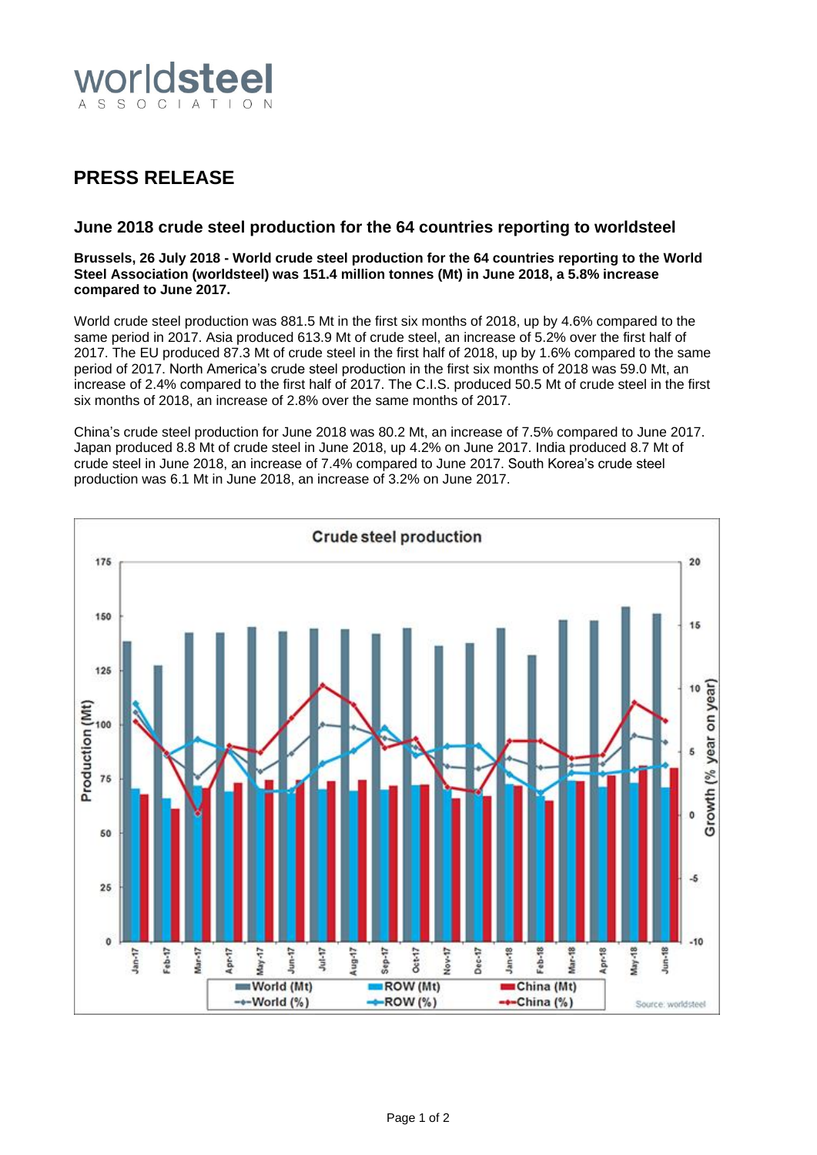

# **PRESS RELEASE**

# **June 2018 crude steel production for the 64 countries reporting to worldsteel**

## **Brussels, 26 July 2018 - World crude steel production for the 64 countries reporting to the World Steel Association (worldsteel) was 151.4 million tonnes (Mt) in June 2018, a 5.8% increase compared to June 2017.**

World crude steel production was 881.5 Mt in the first six months of 2018, up by 4.6% compared to the same period in 2017. Asia produced 613.9 Mt of crude steel, an increase of 5.2% over the first half of 2017. The EU produced 87.3 Mt of crude steel in the first half of 2018, up by 1.6% compared to the same period of 2017. North America's crude steel production in the first six months of 2018 was 59.0 Mt, an increase of 2.4% compared to the first half of 2017. The C.I.S. produced 50.5 Mt of crude steel in the first six months of 2018, an increase of 2.8% over the same months of 2017.

China's crude steel production for June 2018 was 80.2 Mt, an increase of 7.5% compared to June 2017. Japan produced 8.8 Mt of crude steel in June 2018, up 4.2% on June 2017. India produced 8.7 Mt of crude steel in June 2018, an increase of 7.4% compared to June 2017. South Korea's crude steel production was 6.1 Mt in June 2018, an increase of 3.2% on June 2017.